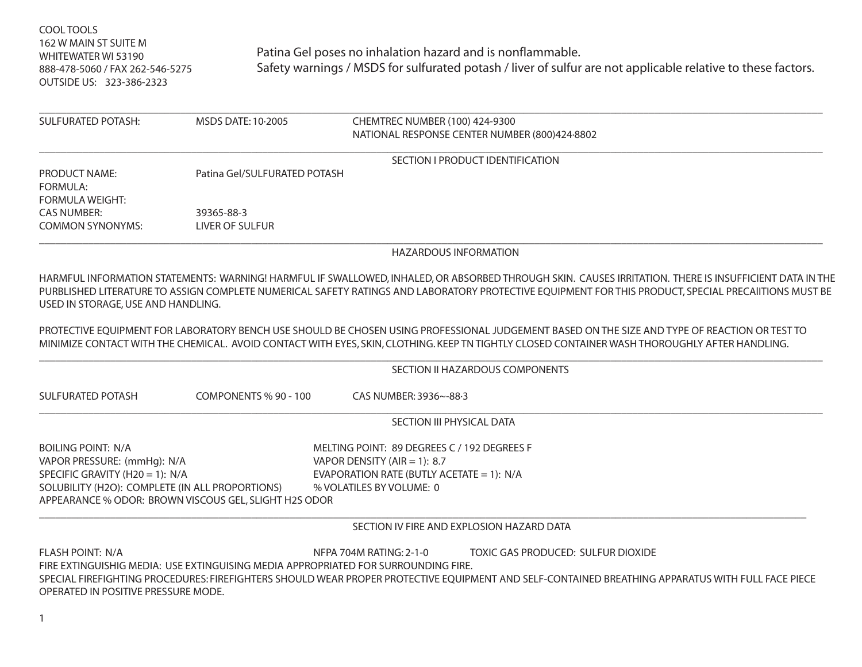COOL TOOLS 162 W MAIN ST SUITE M WHITEWATER WI 53190888-478-5060 / FAX 262-546-5275 OUTSIDE US: 323-386-2323

| <b>SULFURATED POTASH:</b>                                                                                                                      | MSDS DATE: 10-2005                                    | CHEMTREC NUMBER (100) 424-9300<br>NATIONAL RESPONSE CENTER NUMBER (800)424-8802                                                                                                                                                                                                                                |
|------------------------------------------------------------------------------------------------------------------------------------------------|-------------------------------------------------------|----------------------------------------------------------------------------------------------------------------------------------------------------------------------------------------------------------------------------------------------------------------------------------------------------------------|
|                                                                                                                                                |                                                       | SECTION I PRODUCT IDENTIFICATION                                                                                                                                                                                                                                                                               |
| <b>PRODUCT NAME:</b><br><b>FORMULA:</b><br><b>FORMULA WEIGHT:</b>                                                                              | Patina Gel/SULFURATED POTASH                          |                                                                                                                                                                                                                                                                                                                |
| <b>CAS NUMBER:</b>                                                                                                                             | 39365-88-3                                            |                                                                                                                                                                                                                                                                                                                |
| <b>COMMON SYNONYMS:</b>                                                                                                                        | <b>LIVER OF SULFUR</b>                                |                                                                                                                                                                                                                                                                                                                |
|                                                                                                                                                |                                                       | <b>HAZARDOUS INFORMATION</b>                                                                                                                                                                                                                                                                                   |
| USED IN STORAGE, USE AND HANDLING.                                                                                                             |                                                       | HARMFUL INFORMATION STATEMENTS: WARNING! HARMFUL IF SWALLOWED, INHALED, OR ABSORBED THROUGH SKIN. CAUSES IRRITATION. THERE IS INSUFFICIENT DATA IN THE<br>PURBLISHED LITERATURE TO ASSIGN COMPLETE NUMERICAL SAFETY RATINGS AND LABORATORY PROTECTIVE EQUIPMENT FOR THIS PRODUCT, SPECIAL PRECAIITIONS MUST BE |
|                                                                                                                                                |                                                       | PROTECTIVE EQUIPMENT FOR LABORATORY BENCH USE SHOULD BE CHOSEN USING PROFESSIONAL JUDGEMENT BASED ON THE SIZE AND TYPE OF REACTION OR TEST TO<br>MINIMIZE CONTACT WITH THE CHEMICAL. AVOID CONTACT WITH EYES, SKIN, CLOTHING. KEEP TN TIGHTLY CLOSED CONTAINER WASH THOROUGHLY AFTER HANDLING.                 |
|                                                                                                                                                |                                                       | SECTION II HAZARDOUS COMPONENTS                                                                                                                                                                                                                                                                                |
| <b>SULFURATED POTASH</b>                                                                                                                       | COMPONENTS % 90 - 100                                 | CAS NUMBER: 3936~-88-3                                                                                                                                                                                                                                                                                         |
|                                                                                                                                                |                                                       | SECTION III PHYSICAL DATA                                                                                                                                                                                                                                                                                      |
| <b>BOILING POINT: N/A</b><br>VAPOR PRESSURE: (mmHg): N/A<br>SPECIFIC GRAVITY (H20 = 1): N/A<br>SOLUBILITY (H2O): COMPLETE (IN ALL PROPORTIONS) | APPEARANCE % ODOR: BROWN VISCOUS GEL, SLIGHT H2S ODOR | MELTING POINT: 89 DEGREES C / 192 DEGREES F<br>VAPOR DENSITY (AIR = 1): 8.7<br>EVAPORATION RATE (BUTLY ACETATE = 1): $N/A$<br>% VOLATILES BY VOLUME: 0                                                                                                                                                         |
|                                                                                                                                                |                                                       | SECTION IV FIRE AND EXPLOSION HAZARD DATA                                                                                                                                                                                                                                                                      |
| <b>FLASH POINT: N/A</b><br>OPERATED IN POSITIVE PRESSURE MODE.                                                                                 |                                                       | NFPA 704M RATING: 2-1-0<br>TOXIC GAS PRODUCED: SULFUR DIOXIDE<br>FIRE EXTINGUISHIG MEDIA: USE EXTINGUISING MEDIA APPROPRIATED FOR SURROUNDING FIRE.<br>SPECIAL FIREFIGHTING PROCEDURES: FIREFIGHTERS SHOULD WEAR PROPER PROTECTIVE EQUIPMENT AND SELF-CONTAINED BREATHING APPARATUS WITH FULL FACE PIECE       |